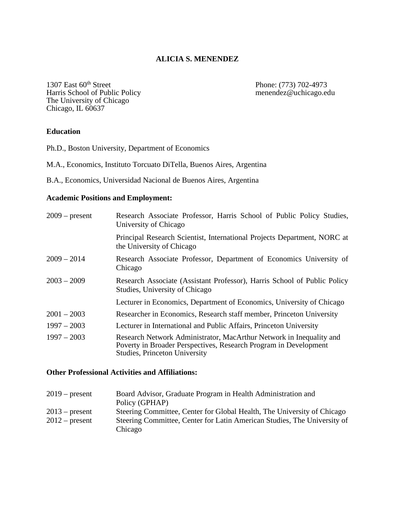## **ALICIA S. MENENDEZ**

1307 East 60<sup>th</sup> Street Phone: (773) 702-4973<br>Harris School of Public Policy menendez@uchicago.edu The University of Chicago Chicago, IL 60637

### **Education**

Ph.D., Boston University, Department of Economics

- M.A., Economics, Instituto Torcuato DiTella, Buenos Aires, Argentina
- B.A., Economics, Universidad Nacional de Buenos Aires, Argentina

## **Academic Positions and Employment:**

| $2009$ – present | Research Associate Professor, Harris School of Public Policy Studies,<br>University of Chicago                                                                                  |
|------------------|---------------------------------------------------------------------------------------------------------------------------------------------------------------------------------|
|                  | Principal Research Scientist, International Projects Department, NORC at<br>the University of Chicago                                                                           |
| $2009 - 2014$    | Research Associate Professor, Department of Economics University of<br>Chicago                                                                                                  |
| $2003 - 2009$    | Research Associate (Assistant Professor), Harris School of Public Policy<br>Studies, University of Chicago                                                                      |
|                  | Lecturer in Economics, Department of Economics, University of Chicago                                                                                                           |
| $2001 - 2003$    | Researcher in Economics, Research staff member, Princeton University                                                                                                            |
| $1997 - 2003$    | Lecturer in International and Public Affairs, Princeton University                                                                                                              |
| $1997 - 2003$    | Research Network Administrator, MacArthur Network in Inequality and<br>Poverty in Broader Perspectives, Research Program in Development<br><b>Studies, Princeton University</b> |

### **Other Professional Activities and Affiliations:**

| $2019$ – present | Board Advisor, Graduate Program in Health Administration and             |
|------------------|--------------------------------------------------------------------------|
|                  | Policy (GPHAP)                                                           |
| $2013$ – present | Steering Committee, Center for Global Health, The University of Chicago  |
| $2012$ – present | Steering Committee, Center for Latin American Studies, The University of |
|                  | Chicago                                                                  |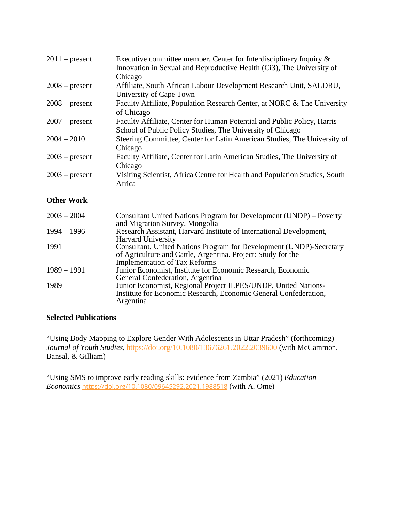| $2011$ – present  | Executive committee member, Center for Interdisciplinary Inquiry $\&$<br>Innovation in Sexual and Reproductive Health (Ci3), The University of<br>Chicago                   |
|-------------------|-----------------------------------------------------------------------------------------------------------------------------------------------------------------------------|
| $2008$ – present  | Affiliate, South African Labour Development Research Unit, SALDRU,<br>University of Cape Town                                                                               |
| $2008$ – present  | Faculty Affiliate, Population Research Center, at NORC & The University<br>of Chicago                                                                                       |
| $2007$ – present  | Faculty Affiliate, Center for Human Potential and Public Policy, Harris<br>School of Public Policy Studies, The University of Chicago                                       |
| $2004 - 2010$     | Steering Committee, Center for Latin American Studies, The University of<br>Chicago                                                                                         |
| $2003$ – present  | Faculty Affiliate, Center for Latin American Studies, The University of<br>Chicago                                                                                          |
| $2003$ – present  | Visiting Scientist, Africa Centre for Health and Population Studies, South<br>Africa                                                                                        |
| <b>Other Work</b> |                                                                                                                                                                             |
| $2003 - 2004$     | Consultant United Nations Program for Development (UNDP) – Poverty<br>and Migration Survey, Mongolia                                                                        |
| $1994 - 1996$     | Research Assistant, Harvard Institute of International Development,<br><b>Harvard University</b>                                                                            |
| 1991              | Consultant, United Nations Program for Development (UNDP)-Secretary<br>of Agriculture and Cattle, Argentina. Project: Study for the<br><b>Implementation of Tax Reforms</b> |
| $1989 - 1991$     | Junior Economist, Institute for Economic Research, Economic<br>General Confederation, Argentina                                                                             |
| 1989              | Junior Economist, Regional Project ILPES/UNDP, United Nations-<br>Institute for Economic Research, Economic General Confederation,<br>Argentina                             |

# **Selected Publications**

"Using Body Mapping to Explore Gender With Adolescents in Uttar Pradesh" (forthcoming) *Journal of Youth Studies*,<https://doi.org/10.1080/13676261.2022.2039600> (with McCammon, Bansal, & Gilliam)

["Using SMS to improve early reading skills: evidence from Zambia" \(2021\)](https://appam.confex.com/appam/2017/webprogram/Paper22699.html) *Education Economics* <https://doi.org/10.1080/09645292.2021.1988518> (with A. Ome)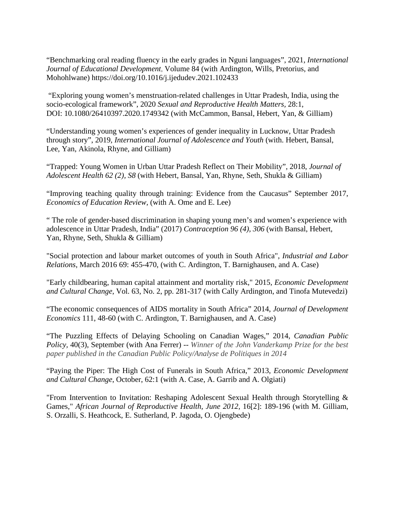"Benchmarking oral reading fluency in the early grades in Nguni languages", 2021*, International Journal of Educational Development*, [Volume 84](https://www.sciencedirect.com/journal/international-journal-of-educational-development/vol/84/suppl/C) (with Ardington, Wills, Pretorius, and Mohohlwane) <https://doi.org/10.1016/j.ijedudev.2021.102433>

"Exploring young women's menstruation-related challenges in Uttar Pradesh, India, using the socio-ecological framework", 2020 *Sexual and Reproductive Health Matters,* 28:1, DOI: [10.1080/26410397.2020.1749342](https://doi.org/10.1080/26410397.2020.1749342) (with McCammon, Bansal, Hebert, Yan, & Gilliam)

"Understanding young women's experiences of gender inequality in Lucknow, Uttar Pradesh through story", 2019*, International Journal of Adolescence and Youth* (with. Hebert, Bansal, Lee, Yan, Akinola, Rhyne, and Gilliam)

["Trapped: Young Women in Urban Uttar Pradesh Reflect on Their Mobility"](javascript:void(0)), 2018, *Journal of Adolescent Health 62 (2), S8* (with Hebert, Bansal, Yan, Rhyne, Seth, Shukla & Gilliam)

"Improving teaching quality through training: Evidence from the Caucasus" September 2017, *Economics of Education Review,* (with A. Ome and E. Lee)

" [The role of gender-based discrimination in shaping young men's and women's experience with](javascript:void(0))  adolescence in [Uttar Pradesh, India"](javascript:void(0)) (2017) *Contraception 96 (4), 306* (with Bansal, Hebert, Yan, Rhyne, Seth, Shukla & Gilliam)

"Social protection and labour market outcomes of youth in South Africa", *Industrial and Labor Relations*, March 2016 69: 455-470, (with C. Ardington, T. Barnighausen, and A. Case)

"Early childbearing, human capital attainment and mortality risk," 2015, *Economic Development and Cultural Change*, Vol. 63, No. 2, pp. 281-317 (with Cally Ardington, and Tinofa Mutevedzi)

"The economic consequences of AIDS mortality in South Africa" 2014, *Journal of Development Economics* 111, 48-60 (with C. Ardington, T. Barnighausen, and A. Case)

"The Puzzling Effects of Delaying Schooling on Canadian Wages," 2014, *Canadian Public Policy,* 40(3), September (with Ana Ferrer) -- *Winner of the John Vanderkamp Prize for the best paper published in the Canadian Public Policy/Analyse de Politiques in 2014*

"Paying the Piper: The High Cost of Funerals in South Africa," 2013, *Economic Development and Cultural Change*, October, 62:1 (with A. Case, A. Garrib and A. Olgiati)

"From Intervention to Invitation: Reshaping Adolescent Sexual Health through Storytelling & Games," *African Journal of Reproductive Health, June 2012,* 16[2]: 189-196 (with M. Gilliam, S. Orzalli, S. Heathcock, E. Sutherland, P. Jagoda, O. Ojengbede)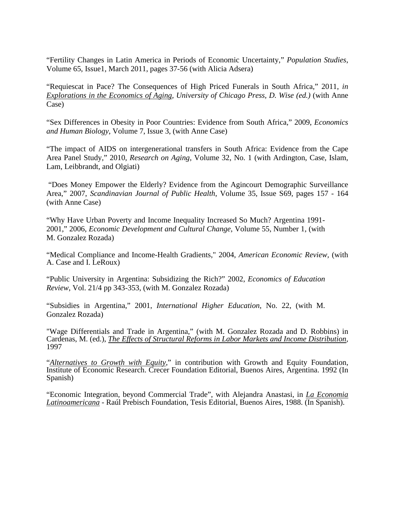"Fertility Changes in Latin America in Periods of Economic Uncertainty," *Population Studies*, Volume 65, Issue1, March 2011, pages 37-56 (with Alicia Adsera)

"Requiescat in Pace? The Consequences of High Priced Funerals in South Africa," 2011, *in Explorations in the Economics of Aging, University of Chicago Press, D. Wise (ed.)* (with Anne Case)

"Sex Differences in Obesity in Poor Countries: Evidence from South Africa," 2009, *Economics and Human Biology*, Volume 7, Issue 3, (with Anne Case)

"The impact of AIDS on intergenerational transfers in South Africa: Evidence from the Cape Area Panel Study," 2010, *Research on Aging,* Volume 32, No. 1 (with Ardington, Case, Islam, Lam, Leibbrandt, and Olgiati)

"Does Money Empower the Elderly? Evidence from the Agincourt Demographic Surveillance Area," 2007, *Scandinavian Journal of Public Health*, Volume 35, Issue S69, pages 157 - 164 (with Anne Case)

"Why Have Urban Poverty and Income Inequality Increased So Much? Argentina 1991- 2001," 2006, *Economic Development and Cultural Change*, Volume 55, Number 1, (with M. Gonzalez Rozada)

"Medical Compliance and Income-Health Gradients," 2004, *American Economic Review,* (with A. Case and I. LeRoux)

"Public University in Argentina: Subsidizing the Rich?" 2002, *Economics of Education Review*, Vol. 21/4 pp 343-353, (with M. Gonzalez Rozada)

"Subsidies in Argentina," 2001, *International Higher Education*, No. 22, (with M. Gonzalez Rozada)

"Wage Differentials and Trade in Argentina," (with M. Gonzalez Rozada and D. Robbins) in Cardenas, M. (ed.), *The Effects of Structural Reforms in Labor Markets and Income Distribution,* 1997

"*Alternatives to Growth with Equity*," in contribution with Growth and Equity Foundation, Institute of Economic Research. Crecer Foundation Editorial, Buenos Aires, Argentina. 1992 (In Spanish)

"Economic Integration, beyond Commercial Trade", with Alejandra Anastasi, in *La Economia Latinoamericana* - Raúl Prebisch Foundation, Tesis Editorial, Buenos Aires, 1988. (In Spanish).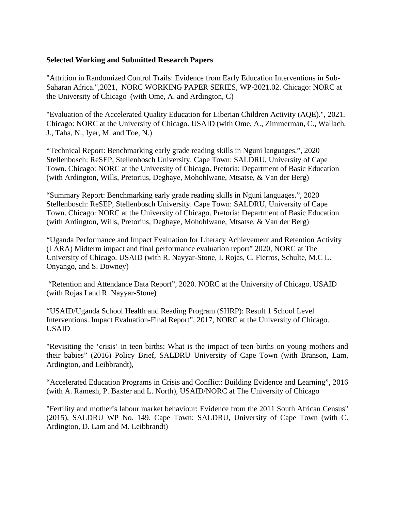## **Selected Working and Submitted Research Papers**

["Attrition in Randomized Control Trails: Evidence from Early Education Interventions in Sub-](https://www.norc.org/PDFs/Working%20Paper%20Series/WPS_OAM_2021.02.pdf)[Saharan Africa.",2021,](https://www.norc.org/PDFs/Working%20Paper%20Series/WPS_OAM_2021.02.pdf) NORC WORKING PAPER SERIES, WP-2021.02. Chicago: NORC at the University of Chicago (with Ome, A. and Ardington, C)

["Evaluation of the Accelerated Quality Education for Liberian Children Activity \(AQE\).",](https://pdf.usaid.gov/pdf_docs/PA00Z648.pdf) 2021. Chicago: NORC at the University of Chicago. USAID (with Ome, A., Zimmerman, C., Wallach, J., Taha, N., Iyer, M. and Toe, N.)

"Technical Report: Benchmarking early grade reading skills in Nguni languages.", 2020 Stellenbosch: ReSEP, Stellenbosch University. Cape Town: SALDRU, University of Cape Town. Chicago: NORC at the University of Chicago. Pretoria: Department of Basic Education (with Ardington, Wills, Pretorius, Deghaye, Mohohlwane, Mtsatse, & Van der Berg)

"Summary Report: Benchmarking early grade reading skills in Nguni languages.", 2020 Stellenbosch: ReSEP, Stellenbosch University. Cape Town: SALDRU, University of Cape Town. Chicago: NORC at the University of Chicago. Pretoria: Department of Basic Education (with Ardington, Wills, Pretorius, Deghaye, Mohohlwane, Mtsatse, & Van der Berg)

"Uganda Performance and Impact Evaluation for Literacy Achievement and Retention Activity (LARA) Midterm impact and final performance evaluation report" 2020, NORC at The University of Chicago. USAID (with R. Nayyar-Stone, I. Rojas, C. Fierros, Schulte, M.C L. Onyango, and S. Downey)

"Retention and Attendance Data Report", 2020. NORC at the University of Chicago. USAID (with Rojas I and R. Nayyar-Stone)

"USAID/Uganda School Health and Reading Program (SHRP): Result 1 School Level Interventions. Impact Evaluation-Final Report", 2017, NORC at the University of Chicago. USAID

"Revisiting the 'crisis' in teen births: What is the impact of teen births on young mothers and their babies" (2016) Policy Brief, SALDRU University of Cape Town (with Branson, Lam, Ardington, and Leibbrandt),

"Accelerated Education Programs in Crisis and Conflict: Building Evidence and Learning", 2016 (with A. Ramesh, P. Baxter and L. North), USAID/NORC at The University of Chicago

"Fertility and mother's labour market behaviour: Evidence from the 2011 South African Census" (2015), SALDRU WP No. 149. Cape Town: SALDRU, University of Cape Town (with C. Ardington, D. Lam and M. Leibbrandt)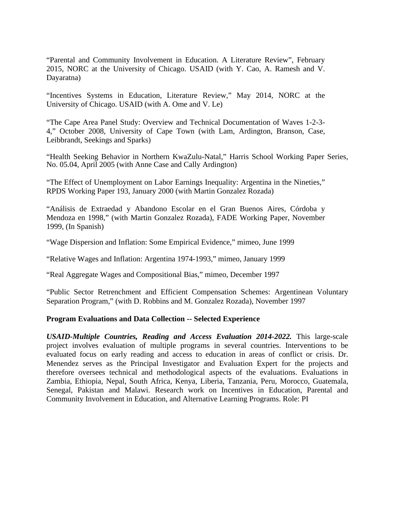"Parental and Community Involvement in Education. A Literature Review", February 2015, NORC at the University of Chicago. USAID (with Y. Cao, A. Ramesh and V. Dayaratna)

"Incentives Systems in Education, Literature Review," May 2014, NORC at the University of Chicago. USAID (with A. Ome and V. Le)

"The Cape Area Panel Study: Overview and Technical Documentation of Waves 1-2-3- 4," October 2008, University of Cape Town (with Lam, Ardington, Branson, Case, Leibbrandt, Seekings and Sparks)

"Health Seeking Behavior in Northern KwaZulu-Natal," Harris School Working Paper Series, No. 05.04, April 2005 (with Anne Case and Cally Ardington)

"The Effect of Unemployment on Labor Earnings Inequality: Argentina in the Nineties," RPDS Working Paper 193, January 2000 (with Martin Gonzalez Rozada)

"Análisis de Extraedad y Abandono Escolar en el Gran Buenos Aires, Córdoba y Mendoza en 1998," (with Martin Gonzalez Rozada), FADE Working Paper, November 1999, (In Spanish)

"Wage Dispersion and Inflation: Some Empirical Evidence," mimeo, June 1999

"Relative Wages and Inflation: Argentina 1974-1993," mimeo, January 1999

"Real Aggregate Wages and Compositional Bias," mimeo, December 1997

"Public Sector Retrenchment and Efficient Compensation Schemes: Argentinean Voluntary Separation Program," (with D. Robbins and M. Gonzalez Rozada), November 1997

### **Program Evaluations and Data Collection -- Selected Experience**

*USAID-Multiple Countries, Reading and Access Evaluation 2014-2022.* This large-scale project involves evaluation of multiple programs in several countries. Interventions to be evaluated focus on early reading and access to education in areas of conflict or crisis. Dr. Menendez serves as the Principal Investigator and Evaluation Expert for the projects and therefore oversees technical and methodological aspects of the evaluations. Evaluations in Zambia, Ethiopia, Nepal, South Africa, Kenya, Liberia, Tanzania, Peru, Morocco, Guatemala, Senegal, Pakistan and Malawi. Research work on Incentives in Education, Parental and Community Involvement in Education, and Alternative Learning Programs. Role: PI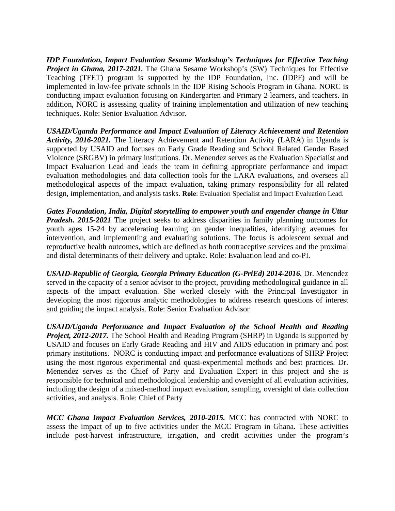*IDP Foundation, Impact Evaluation Sesame Workshop's Techniques for Effective Teaching Project in Ghana, 2017-2021.* The Ghana Sesame Workshop's (SW) Techniques for Effective Teaching (TFET) program is supported by the IDP Foundation, Inc. (IDPF) and will be implemented in low-fee private schools in the IDP Rising Schools Program in Ghana. NORC is conducting impact evaluation focusing on Kindergarten and Primary 2 learners, and teachers. In addition, NORC is assessing quality of training implementation and utilization of new teaching techniques. Role: Senior Evaluation Advisor.

*USAID/Uganda Performance and Impact Evaluation of Literacy Achievement and Retention Activity, 2016-2021.* The Literacy Achievement and Retention Activity (LARA) in Uganda is supported by USAID and focuses on Early Grade Reading and School Related Gender Based Violence (SRGBV) in primary institutions. Dr. Menendez serves as the Evaluation Specialist and Impact Evaluation Lead and leads the team in defining appropriate performance and impact evaluation methodologies and data collection tools for the LARA evaluations, and oversees all methodological aspects of the impact evaluation, taking primary responsibility for all related design, implementation, and analysis tasks. **Role**: Evaluation Specialist and Impact Evaluation Lead.

*Gates Foundation, India, Digital storytelling to empower youth and engender change in Uttar Pradesh. 2015-2021* The project seeks to address disparities in family planning outcomes for youth ages 15-24 by accelerating learning on gender inequalities, identifying avenues for intervention, and implementing and evaluating solutions. The focus is adolescent sexual and reproductive health outcomes, which are defined as both contraceptive services and the proximal and distal determinants of their delivery and uptake. Role: Evaluation lead and co-PI.

*USAID-Republic of Georgia, Georgia Primary Education (G-PriEd) 2014-2016.* Dr. Menendez served in the capacity of a senior advisor to the project, providing methodological guidance in all aspects of the impact evaluation. She worked closely with the Principal Investigator in developing the most rigorous analytic methodologies to address research questions of interest and guiding the impact analysis. Role: Senior Evaluation Advisor

*USAID/Uganda Performance and Impact Evaluation of the School Health and Reading Project, 2012-2017.* The School Health and Reading Program (SHRP) in Uganda is supported by USAID and focuses on Early Grade Reading and HIV and AIDS education in primary and post primary institutions. NORC is conducting impact and performance evaluations of SHRP Project using the most rigorous experimental and quasi-experimental methods and best practices. Dr. Menendez serves as the Chief of Party and Evaluation Expert in this project and she is responsible for technical and methodological leadership and oversight of all evaluation activities, including the design of a mixed-method impact evaluation, sampling, oversight of data collection activities, and analysis. Role: Chief of Party

*MCC Ghana Impact Evaluation Services, 2010-2015.* MCC has contracted with NORC to assess the impact of up to five activities under the MCC Program in Ghana. These activities include post-harvest infrastructure, irrigation, and credit activities under the program's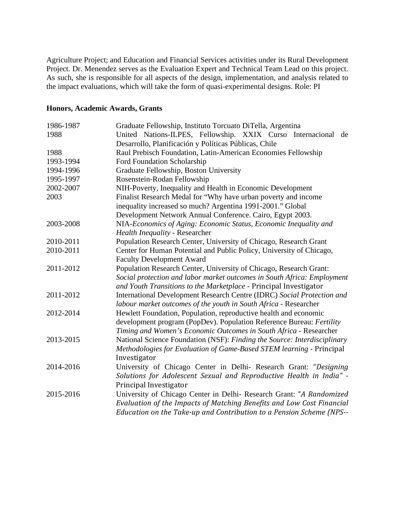Agriculture Project; and Education and Financial Services activities under its Rural Development Project. Dr. Menendez serves as the Evaluation Expert and Technical Team Lead on this project. As such, she is responsible for all aspects of the design, implementation, and analysis related to the impact evaluations, which will take the form of quasi-experimental designs. Role: PI

## **Honors, Academic Awards, Grants**

| 1986-1987 | Graduate Fellowship, Instituto Torcuato DiTella, Argentina               |
|-----------|--------------------------------------------------------------------------|
| 1988      | United Nations-ILPES, Fellowship. XXIX Curso Internacional<br>de         |
|           | Desarrollo, Planificación y Políticas Públicas, Chile                    |
| 1988      | Raul Prebisch Foundation, Latin-American Economies Fellowship            |
| 1993-1994 | Ford Foundation Scholarship                                              |
| 1994-1996 | Graduate Fellowship, Boston University                                   |
| 1995-1997 | Rosenstein-Rodan Fellowship                                              |
| 2002-2007 | NIH-Poverty, Inequality and Health in Economic Development               |
| 2003      | Finalist Research Medal for "Why have urban poverty and income           |
|           | inequality increased so much? Argentina 1991-2001." Global               |
|           | Development Network Annual Conference. Cairo, Egypt 2003.                |
| 2003-2008 | NIA-Economics of Aging: Economic Status, Economic Inequality and         |
|           | Health Inequality - Researcher                                           |
| 2010-2011 | Population Research Center, University of Chicago, Research Grant        |
| 2010-2011 | Center for Human Potential and Public Policy, University of Chicago,     |
|           | <b>Faculty Development Award</b>                                         |
| 2011-2012 | Population Research Center, University of Chicago, Research Grant:       |
|           | Social protection and labor market outcomes in South Africa: Employment  |
|           | and Youth Transitions to the Marketplace - Principal Investigator        |
| 2011-2012 | International Development Research Centre (IDRC) Social Protection and   |
|           | labour market outcomes of the youth in South Africa - Researcher         |
| 2012-2014 | Hewlett Foundation, Population, reproductive health and economic         |
|           | development program (PopDev). Population Reference Bureau: Fertility     |
|           | Timing and Women's Economic Outcomes in South Africa - Researcher        |
| 2013-2015 | National Science Foundation (NSF): Finding the Source: Interdisciplinary |
|           | Methodologies for Evaluation of Game-Based STEM learning - Principal     |
|           | Investigator                                                             |
| 2014-2016 | University of Chicago Center in Delhi- Research Grant: "Designing        |
|           | Solutions for Adolescent Sexual and Reproductive Health in India" -      |
|           | Principal Investigator                                                   |
| 2015-2016 | University of Chicago Center in Delhi- Research Grant: "A Randomized     |
|           | Evaluation of the Impacts of Matching Benefits and Low Cost Financial    |
|           | Education on the Take-up and Contribution to a Pension Scheme (NPS--     |